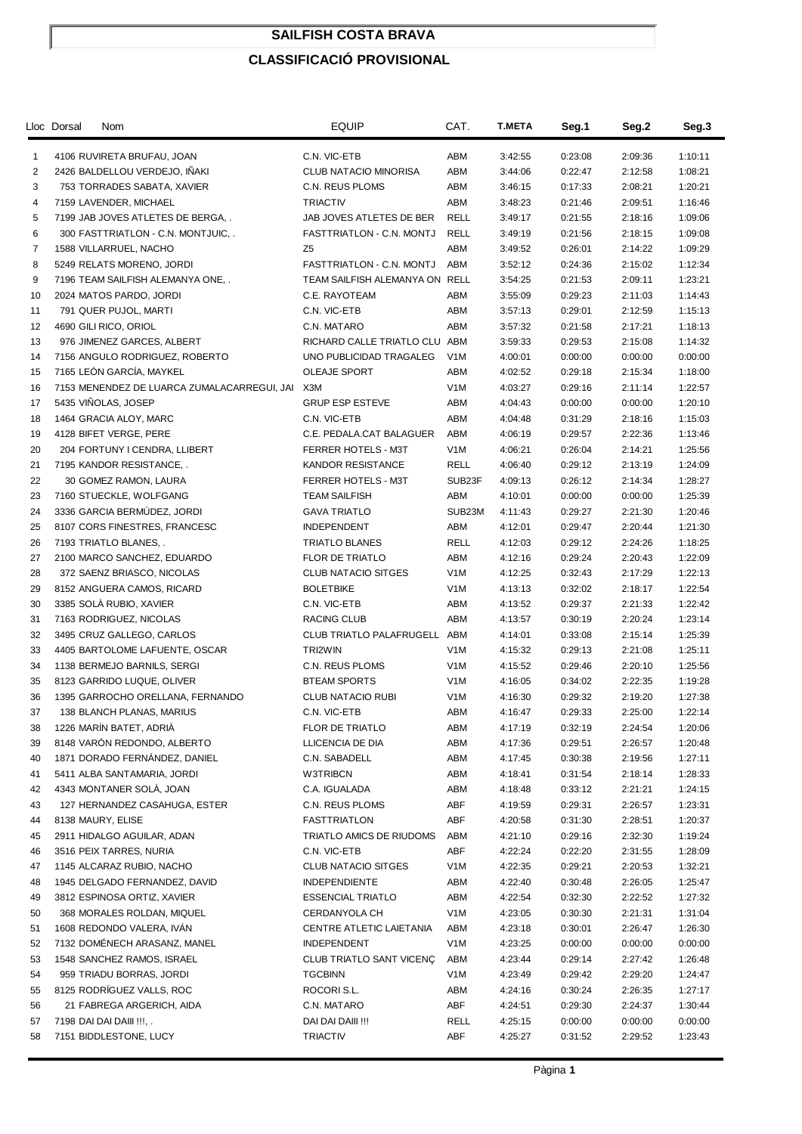## **SAILFISH COSTA BRAVA**

## **CLASSIFICACIÓ PROVISIONAL**

|          | Lloc Dorsal | <b>Nom</b>                                                   | <b>EQUIP</b>                     | CAT.             | <b>T.META</b>      | Seg.1              | Seg.2              | Seg.3              |
|----------|-------------|--------------------------------------------------------------|----------------------------------|------------------|--------------------|--------------------|--------------------|--------------------|
| 1        |             | 4106 RUVIRETA BRUFAU, JOAN                                   | C.N. VIC-ETB                     | ABM              | 3:42:55            | 0:23:08            | 2:09:36            | 1:10:11            |
| 2        |             | 2426 BALDELLOU VERDEJO, INAKI                                | CLUB NATACIO MINORISA            | ABM              | 3:44:06            | 0:22:47            | 2:12:58            | 1:08:21            |
| 3        |             | 753 TORRADES SABATA, XAVIER                                  | C.N. REUS PLOMS                  | ABM              | 3:46:15            | 0:17:33            | 2:08:21            | 1:20:21            |
| 4        |             | 7159 LAVENDER, MICHAEL                                       | <b>TRIACTIV</b>                  | ABM              | 3:48:23            | 0:21:46            | 2:09:51            | 1:16:46            |
| 5        |             | 7199 JAB JOVES ATLETES DE BERGA, .                           | JAB JOVES ATLETES DE BER         | <b>RELL</b>      | 3:49:17            | 0:21:55            | 2:18:16            | 1:09:06            |
| 6        |             | 300 FASTTRIATLON - C.N. MONTJUIC, .                          | FASTTRIATLON - C.N. MONTJ        | <b>RELL</b>      | 3:49:19            | 0:21:56            | 2:18:15            | 1:09:08            |
| 7        |             | 1588 VILLARRUEL, NACHO                                       | Z <sub>5</sub>                   | ABM              | 3:49:52            | 0:26:01            | 2:14:22            | 1:09:29            |
| 8        |             | 5249 RELATS MORENO, JORDI                                    | FASTTRIATLON - C.N. MONTJ        | ABM              | 3:52:12            | 0:24:36            | 2:15:02            | 1:12:34            |
| 9        |             | 7196 TEAM SAILFISH ALEMANYA ONE, .                           | TEAM SAILFISH ALEMANYA ON RELL   |                  | 3:54:25            | 0:21:53            | 2:09:11            | 1:23:21            |
| 10       |             | 2024 MATOS PARDO, JORDI                                      | C.E. RAYOTEAM                    | ABM              | 3:55:09            | 0:29:23            | 2:11:03            | 1:14:43            |
| 11       |             | 791 QUER PUJOL, MARTI                                        | C.N. VIC-ETB                     | ABM              | 3:57:13            | 0:29:01            | 2:12:59            | 1:15:13            |
| 12       |             | 4690 GILI RICO, ORIOL                                        | C.N. MATARO                      | ABM              | 3:57:32            | 0:21:58            | 2:17:21            | 1:18:13            |
| 13       |             | 976 JIMENEZ GARCES, ALBERT                                   | RICHARD CALLE TRIATLO CLU ABM    |                  | 3:59:33            | 0:29:53            | 2:15:08            | 1:14:32            |
| 14       |             | 7156 ANGULO RODRIGUEZ, ROBERTO                               | UNO PUBLICIDAD TRAGALEG          | V <sub>1</sub> M | 4:00:01            | 0:00:00            | 0:00:00            | 0:00:00            |
| 15       |             | 7165 LEÓN GARCÍA, MAYKEL                                     | <b>OLEAJE SPORT</b>              | ABM              | 4:02:52            | 0:29:18            | 2:15:34            | 1:18:00            |
| 16       |             | 7153 MENENDEZ DE LUARCA ZUMALACARREGUI, JAI                  | X3M                              | V <sub>1</sub> M | 4:03:27            | 0:29:16            | 2:11:14            | 1:22:57            |
| 17       |             | 5435 VINOLAS, JOSEP                                          | <b>GRUP ESP ESTEVE</b>           | ABM              | 4:04:43            | 0:00:00            | 0:00:00            | 1:20:10            |
| 18       |             | 1464 GRACIA ALOY, MARC                                       | C.N. VIC-ETB                     | ABM              | 4:04:48            | 0:31:29            | 2:18:16            | 1:15:03            |
| 19       |             | 4128 BIFET VERGE, PERE                                       | C.E. PEDALA.CAT BALAGUER         | ABM              | 4:06:19            | 0:29:57            | 2:22:36            | 1:13:46            |
| 20       |             | 204 FORTUNY I CENDRA, LLIBERT                                | FERRER HOTELS - M3T              | V <sub>1</sub> M | 4:06:21            | 0:26:04            | 2:14:21            | 1:25:56            |
| 21       |             | 7195 KANDOR RESISTANCE, .                                    | KANDOR RESISTANCE                | <b>RELL</b>      | 4:06:40            | 0:29:12            | 2:13:19            | 1:24:09            |
| 22       |             | 30 GOMEZ RAMON, LAURA                                        | FERRER HOTELS - M3T              | SUB23F           | 4:09:13            | 0:26:12            | 2:14:34            | 1:28:27            |
| 23       |             | 7160 STUECKLE, WOLFGANG                                      | <b>TEAM SAILFISH</b>             | ABM              | 4:10:01            | 0:00:00            | 0:00:00            | 1:25:39            |
| 24       |             | 3336 GARCIA BERMUDEZ, JORDI                                  | <b>GAVA TRIATLO</b>              | SUB23M           | 4:11:43            | 0:29:27            | 2:21:30            | 1:20:46            |
| 25       |             | 8107 CORS FINESTRES, FRANCESC                                | <b>INDEPENDENT</b>               | ABM              | 4:12:01            | 0:29:47            | 2:20:44            | 1:21:30            |
| 26       |             | 7193 TRIATLO BLANES, .                                       | TRIATLO BLANES                   | RELL             | 4:12:03            | 0:29:12            | 2:24:26            | 1:18:25            |
| 27       |             | 2100 MARCO SANCHEZ, EDUARDO                                  | <b>FLOR DE TRIATLO</b>           | ABM              | 4:12:16            | 0:29:24            | 2:20:43            | 1:22:09            |
| 28       |             | 372 SAENZ BRIASCO, NICOLAS                                   | <b>CLUB NATACIO SITGES</b>       | V1M              | 4:12:25            | 0:32:43            | 2:17:29            | 1:22:13            |
| 29       |             | 8152 ANGUERA CAMOS, RICARD                                   | <b>BOLETBIKE</b>                 | V <sub>1</sub> M | 4:13:13            | 0:32:02            | 2:18:17            | 1:22:54            |
| 30       |             | 3385 SOLA RUBIO, XAVIER                                      | C.N. VIC-ETB                     | ABM              | 4:13:52            | 0:29:37            | 2:21:33            | 1:22:42            |
| 31       |             | 7163 RODRIGUEZ, NICOLAS                                      | RACING CLUB                      | ABM              | 4:13:57            | 0:30:19            | 2:20:24            | 1:23:14            |
| 32       |             | 3495 CRUZ GALLEGO, CARLOS                                    | CLUB TRIATLO PALAFRUGELL ABM     |                  | 4:14:01            | 0:33:08            | 2:15:14            | 1:25:39            |
| 33       |             | 4405 BARTOLOME LAFUENTE, OSCAR                               | TRI2WIN                          | V <sub>1</sub> M | 4:15:32            | 0:29:13            | 2:21:08            | 1:25:11            |
| 34       |             | 1138 BERMEJO BARNILS, SERGI                                  | C.N. REUS PLOMS                  | V <sub>1</sub> M | 4:15:52            | 0:29:46            | 2:20:10            | 1:25:56            |
| 35       |             | 8123 GARRIDO LUQUE, OLIVER                                   | <b>BTEAM SPORTS</b>              | V <sub>1</sub> M | 4:16:05            | 0:34:02            | 2:22:35            | 1:19:28            |
| 36       |             | 1395 GARROCHO ORELLANA, FERNANDO                             | <b>CLUB NATACIO RUBI</b>         | V <sub>1</sub> M | 4:16:30            | 0:29:32            | 2:19:20            | 1:27:38            |
| 37       |             | 138 BLANCH PLANAS, MARIUS                                    | C.N. VIC-ETB                     | ABM              | 4:16:47            | 0:29:33            | 2:25:00            | 1:22:14            |
| 38       |             | 1226 MARIN BATET, ADRIA                                      | FLOR DE TRIATLO                  | ABM              | 4:17:19            | 0:32:19            | 2:24:54            | 1:20:06            |
| 39       |             | 8148 VARON REDONDO, ALBERTO                                  | LLICENCIA DE DIA                 | ABM              | 4:17:36            | 0:29:51            | 2:26:57            | 1:20:48            |
| 40<br>41 |             | 1871 DORADO FERNÁNDEZ, DANIEL<br>5411 ALBA SANTAMARIA, JORDI | C.N. SABADELL<br><b>W3TRIBCN</b> | ABM<br>ABM       | 4:17:45<br>4:18:41 | 0:30:38<br>0:31:54 | 2:19:56<br>2:18:14 | 1:27:11<br>1:28:33 |
| 42       |             | 4343 MONTANER SOLA, JOAN                                     | C.A. IGUALADA                    | ABM              | 4:18:48            | 0:33:12            | 2:21:21            | 1:24:15            |
| 43       |             | 127 HERNANDEZ CASAHUGA, ESTER                                | C.N. REUS PLOMS                  | ABF              | 4:19:59            | 0:29:31            | 2:26:57            | 1:23:31            |
| 44       |             | 8138 MAURY, ELISE                                            | <b>FASTTRIATLON</b>              | ABF              | 4:20:58            | 0:31:30            | 2:28:51            | 1:20:37            |
| 45       |             | 2911 HIDALGO AGUILAR, ADAN                                   | TRIATLO AMICS DE RIUDOMS         | ABM              | 4:21:10            | 0:29:16            | 2:32:30            | 1:19:24            |
| 46       |             | 3516 PEIX TARRES, NURIA                                      | C.N. VIC-ETB                     | ABF              | 4:22:24            | 0:22:20            | 2:31:55            | 1:28:09            |
| 47       |             | 1145 ALCARAZ RUBIO, NACHO                                    | <b>CLUB NATACIO SITGES</b>       | V <sub>1</sub> M | 4:22:35            | 0:29:21            | 2:20:53            | 1:32:21            |
| 48       |             | 1945 DELGADO FERNANDEZ, DAVID                                | <b>INDEPENDIENTE</b>             | ABM              | 4:22:40            | 0:30:48            | 2:26:05            | 1:25:47            |
| 49       |             | 3812 ESPINOSA ORTIZ, XAVIER                                  | <b>ESSENCIAL TRIATLO</b>         | ABM              | 4:22:54            | 0:32:30            | 2:22:52            | 1:27:32            |
| 50       |             | 368 MORALES ROLDAN, MIQUEL                                   | CERDANYOLA CH                    | V <sub>1</sub> M | 4:23:05            | 0:30:30            | 2:21:31            | 1:31:04            |
| 51       |             | 1608 REDONDO VALERA, IVAN                                    | CENTRE ATLETIC LAIETANIA         | ABM              | 4:23:18            | 0:30:01            | 2:26:47            | 1:26:30            |
| 52       |             | 7132 DOMÉNECH ARASANZ, MANEL                                 | <b>INDEPENDENT</b>               | V <sub>1</sub> M | 4:23:25            | 0:00:00            | 0:00:00            | 0:00:00            |
| 53       |             | 1548 SANCHEZ RAMOS, ISRAEL                                   | CLUB TRIATLO SANT VICENÇ         | ABM              | 4:23:44            | 0:29:14            | 2:27:42            | 1:26:48            |
| 54       |             | 959 TRIADU BORRAS, JORDI                                     | <b>TGCBINN</b>                   | V <sub>1</sub> M | 4:23:49            | 0:29:42            | 2:29:20            | 1:24:47            |
| 55       |             | 8125 RODRÍGUEZ VALLS, ROC                                    | ROCORI S.L.                      | ABM              | 4:24:16            | 0:30:24            | 2:26:35            | 1:27:17            |
| 56       |             | 21 FABREGA ARGERICH, AIDA                                    | C.N. MATARO                      | ABF              | 4:24:51            | 0:29:30            | 2:24:37            | 1:30:44            |
| 57       |             | 7198 DAI DAI DAIII !!!, .                                    | DAI DAI DAIII !!!                | RELL             | 4:25:15            | 0:00:00            | 0:00:00            | 0:00:00            |
| 58       |             | 7151 BIDDLESTONE, LUCY                                       | <b>TRIACTIV</b>                  | ABF              | 4:25:27            | 0:31:52            | 2:29:52            | 1:23:43            |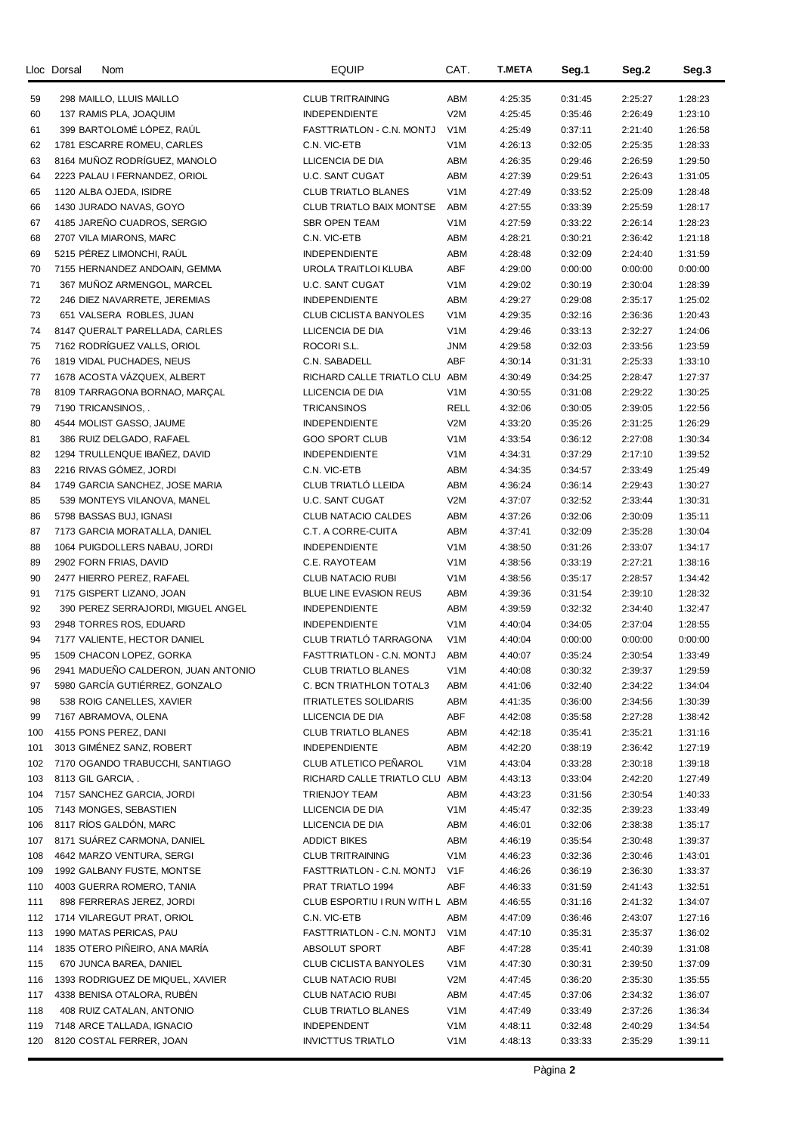|     | Lloc Dorsal | Nom                                 | <b>EQUIP</b>                   | CAT.             | <b>T.META</b> | Seg.1   | Seg.2   | Seg.3   |
|-----|-------------|-------------------------------------|--------------------------------|------------------|---------------|---------|---------|---------|
| 59  |             | 298 MAILLO, LLUIS MAILLO            | <b>CLUB TRITRAINING</b>        | ABM              | 4:25:35       | 0:31:45 | 2:25:27 | 1:28:23 |
| 60  |             | 137 RAMIS PLA, JOAQUIM              | <b>INDEPENDIENTE</b>           | V2M              | 4:25:45       | 0:35:46 | 2:26:49 | 1:23:10 |
| 61  |             | 399 BARTOLOME LOPEZ, RAUL           | FASTTRIATLON - C.N. MONTJ      | V <sub>1</sub> M | 4:25:49       | 0:37:11 | 2:21:40 | 1:26:58 |
| 62  |             | 1781 ESCARRE ROMEU, CARLES          | C.N. VIC-ETB                   | V <sub>1</sub> M | 4:26:13       | 0:32:05 | 2:25:35 | 1:28:33 |
| 63  |             | 8164 MUÑOZ RODRÍGUEZ, MANOLO        | LLICENCIA DE DIA               | ABM              | 4:26:35       | 0:29:46 | 2:26:59 | 1:29:50 |
|     |             |                                     |                                |                  |               |         |         |         |
| 64  |             | 2223 PALAU I FERNANDEZ, ORIOL       | U.C. SANT CUGAT                | ABM              | 4:27:39       | 0:29:51 | 2:26:43 | 1:31:05 |
| 65  |             | 1120 ALBA OJEDA, ISIDRE             | <b>CLUB TRIATLO BLANES</b>     | V <sub>1</sub> M | 4:27:49       | 0:33:52 | 2:25:09 | 1:28:48 |
| 66  |             | 1430 JURADO NAVAS, GOYO             | CLUB TRIATLO BAIX MONTSE       | ABM              | 4:27:55       | 0:33:39 | 2:25:59 | 1:28:17 |
| 67  |             | 4185 JAREÑO CUADROS, SERGIO         | <b>SBR OPEN TEAM</b>           | V <sub>1</sub> M | 4:27:59       | 0:33:22 | 2:26:14 | 1:28:23 |
| 68  |             | 2707 VILA MIARONS, MARC             | C.N. VIC-ETB                   | ABM              | 4:28:21       | 0:30:21 | 2:36:42 | 1:21:18 |
| 69  |             | 5215 PÉREZ LIMONCHI, RAÚL           | <b>INDEPENDIENTE</b>           | ABM              | 4:28:48       | 0:32:09 | 2:24:40 | 1:31:59 |
| 70  |             | 7155 HERNANDEZ ANDOAIN, GEMMA       | UROLA TRAITLOI KLUBA           | <b>ABF</b>       | 4:29:00       | 0:00:00 | 0:00:00 | 0:00:00 |
| 71  |             | 367 MUÑOZ ARMENGOL, MARCEL          | U.C. SANT CUGAT                | V <sub>1</sub> M | 4:29:02       | 0:30:19 | 2:30:04 | 1:28:39 |
| 72  |             | 246 DIEZ NAVARRETE, JEREMIAS        | <b>INDEPENDIENTE</b>           | ABM              | 4:29:27       | 0:29:08 | 2:35:17 | 1:25:02 |
| 73  |             | 651 VALSERA ROBLES, JUAN            | CLUB CICLISTA BANYOLES         | V <sub>1</sub> M | 4:29:35       | 0:32:16 | 2:36:36 | 1:20:43 |
| 74  |             | 8147 QUERALT PARELLADA, CARLES      | LLICENCIA DE DIA               | V <sub>1</sub> M | 4:29:46       | 0:33:13 | 2:32:27 | 1:24:06 |
| 75  |             | 7162 RODRÍGUEZ VALLS, ORIOL         | ROCORI S.L.                    | <b>JNM</b>       | 4:29:58       | 0:32:03 | 2:33:56 | 1:23:59 |
| 76  |             | 1819 VIDAL PUCHADES, NEUS           | C.N. SABADELL                  | <b>ABF</b>       | 4:30:14       | 0:31:31 | 2:25:33 | 1:33:10 |
| 77  |             | 1678 ACOSTA VÁZQUEX, ALBERT         | RICHARD CALLE TRIATLO CLU ABM  |                  | 4:30:49       | 0:34:25 | 2:28:47 | 1:27:37 |
| 78  |             | 8109 TARRAGONA BORNAO, MARCAL       | LLICENCIA DE DIA               | V <sub>1</sub> M | 4:30:55       | 0:31:08 | 2:29:22 | 1:30:25 |
| 79  |             | 7190 TRICANSINOS, .                 | <b>TRICANSINOS</b>             | RELL             | 4:32:06       | 0:30:05 | 2:39:05 | 1:22:56 |
| 80  |             | 4544 MOLIST GASSO, JAUME            | <b>INDEPENDIENTE</b>           | V2M              | 4:33:20       | 0:35:26 | 2:31:25 | 1:26:29 |
| 81  |             | 386 RUIZ DELGADO, RAFAEL            | <b>GOO SPORT CLUB</b>          | V <sub>1</sub> M | 4:33:54       | 0:36:12 | 2:27:08 | 1:30:34 |
| 82  |             | 1294 TRULLENQUE IBAÑEZ, DAVID       | <b>INDEPENDIENTE</b>           | V <sub>1</sub> M | 4:34:31       | 0:37:29 | 2:17:10 | 1:39:52 |
| 83  |             | 2216 RIVAS GÓMEZ, JORDI             | C.N. VIC-ETB                   | ABM              | 4:34:35       | 0:34:57 | 2:33:49 | 1:25:49 |
| 84  |             | 1749 GARCIA SANCHEZ, JOSE MARIA     | CLUB TRIATLO LLEIDA            | ABM              | 4:36:24       | 0:36:14 | 2:29:43 | 1:30:27 |
| 85  |             | 539 MONTEYS VILANOVA, MANEL         | U.C. SANT CUGAT                | V2M              | 4:37:07       | 0:32:52 | 2:33:44 | 1:30:31 |
| 86  |             | 5798 BASSAS BUJ, IGNASI             | <b>CLUB NATACIO CALDES</b>     | ABM              | 4:37:26       | 0:32:06 | 2:30:09 | 1:35:11 |
| 87  |             | 7173 GARCIA MORATALLA, DANIEL       | C.T. A CORRE-CUITA             | ABM              | 4:37:41       | 0:32:09 | 2:35:28 | 1:30:04 |
| 88  |             | 1064 PUIGDOLLERS NABAU, JORDI       | <b>INDEPENDIENTE</b>           | V <sub>1</sub> M | 4:38:50       | 0:31:26 | 2:33:07 | 1:34:17 |
| 89  |             | 2902 FORN FRIAS, DAVID              | C.E. RAYOTEAM                  | V <sub>1</sub> M | 4:38:56       | 0:33:19 | 2:27:21 | 1:38:16 |
| 90  |             | 2477 HIERRO PEREZ, RAFAEL           | <b>CLUB NATACIO RUBI</b>       | V <sub>1</sub> M | 4:38:56       | 0:35:17 | 2:28:57 | 1:34:42 |
| 91  |             | 7175 GISPERT LIZANO, JOAN           | BLUE LINE EVASION REUS         | ABM              | 4:39:36       | 0:31:54 | 2:39:10 | 1:28:32 |
| 92  |             | 390 PEREZ SERRAJORDI, MIGUEL ANGEL  | <b>INDEPENDIENTE</b>           | ABM              | 4:39:59       | 0:32:32 | 2:34:40 | 1:32:47 |
| 93  |             | 2948 TORRES ROS, EDUARD             | <b>INDEPENDIENTE</b>           | V <sub>1</sub> M | 4:40:04       | 0:34:05 | 2:37:04 | 1:28:55 |
| 94  |             | 7177 VALIENTE, HECTOR DANIEL        | CLUB TRIATLÓ TARRAGONA         | V <sub>1</sub> M | 4:40:04       | 0:00:00 | 0:00:00 | 0:00:00 |
| 95  |             | 1509 CHACON LOPEZ, GORKA            | FASTTRIATLON - C.N. MONTJ      | ABM              | 4:40:07       | 0:35:24 | 2:30:54 | 1:33:49 |
| 96  |             | 2941 MADUEÑO CALDERON, JUAN ANTONIO | CLUB TRIATLO BLANES            | V1M              | 4:40:08       | 0:30:32 | 2:39:37 | 1:29:59 |
| 97  |             | 5980 GARCÍA GUTIÉRREZ, GONZALO      | C. BCN TRIATHLON TOTAL3        | ABM              | 4:41:06       | 0:32:40 | 2:34:22 | 1:34:04 |
| 98  |             | 538 ROIG CANELLES, XAVIER           | <b>ITRIATLETES SOLIDARIS</b>   | ABM              | 4:41:35       | 0:36:00 | 2:34:56 | 1:30:39 |
| 99  |             | 7167 ABRAMOVA, OLENA                | LLICENCIA DE DIA               | ABF              | 4:42:08       | 0:35:58 | 2:27:28 | 1:38:42 |
| 100 |             | 4155 PONS PEREZ, DANI               | <b>CLUB TRIATLO BLANES</b>     | ABM              | 4:42:18       | 0:35:41 | 2:35:21 | 1:31:16 |
| 101 |             | 3013 GIMÉNEZ SANZ, ROBERT           | INDEPENDIENTE                  | ABM              | 4:42:20       | 0:38:19 | 2:36:42 | 1:27:19 |
| 102 |             | 7170 OGANDO TRABUCCHI, SANTIAGO     | CLUB ATLETICO PEÑAROL          | V <sub>1</sub> M | 4:43:04       | 0:33:28 | 2:30:18 | 1:39:18 |
| 103 |             | 8113 GIL GARCIA, .                  | RICHARD CALLE TRIATLO CLU ABM  |                  | 4:43:13       | 0:33:04 | 2:42:20 | 1:27:49 |
| 104 |             | 7157 SANCHEZ GARCIA, JORDI          | <b>TRIENJOY TEAM</b>           | ABM              | 4:43:23       | 0:31:56 | 2:30:54 | 1:40:33 |
| 105 |             | 7143 MONGES, SEBASTIEN              | LLICENCIA DE DIA               | V <sub>1</sub> M | 4:45:47       | 0:32:35 | 2:39:23 |         |
|     |             | 8117 RÍOS GALDÓN, MARC              |                                |                  |               |         |         | 1:33:49 |
| 106 |             |                                     | LLICENCIA DE DIA               | ABM              | 4:46:01       | 0:32:06 | 2:38:38 | 1:35:17 |
| 107 |             | 8171 SUÁREZ CARMONA, DANIEL         | <b>ADDICT BIKES</b>            | ABM              | 4:46:19       | 0:35:54 | 2:30:48 | 1:39:37 |
| 108 |             | 4642 MARZO VENTURA, SERGI           | <b>CLUB TRITRAINING</b>        | V <sub>1</sub> M | 4:46:23       | 0:32:36 | 2:30:46 | 1:43:01 |
| 109 |             | 1992 GALBANY FUSTE, MONTSE          | FASTTRIATLON - C.N. MONTJ      | V1F              | 4:46:26       | 0:36:19 | 2:36:30 | 1:33:37 |
| 110 |             | 4003 GUERRA ROMERO, TANIA           | PRAT TRIATLO 1994              | ABF              | 4:46:33       | 0:31:59 | 2:41:43 | 1:32:51 |
| 111 |             | 898 FERRERAS JEREZ, JORDI           | CLUB ESPORTIU I RUN WITH L ABM |                  | 4:46:55       | 0:31:16 | 2:41:32 | 1:34:07 |
| 112 |             | 1714 VILAREGUT PRAT, ORIOL          | C.N. VIC-ETB                   | ABM              | 4:47:09       | 0:36:46 | 2:43:07 | 1:27:16 |
| 113 |             | 1990 MATAS PERICAS, PAU             | FASTTRIATLON - C.N. MONTJ      | V <sub>1</sub> M | 4:47:10       | 0:35:31 | 2:35:37 | 1:36:02 |
| 114 |             | 1835 OTERO PIÑEIRO, ANA MARÍA       | ABSOLUT SPORT                  | ABF              | 4:47:28       | 0:35:41 | 2:40:39 | 1:31:08 |
| 115 |             | 670 JUNCA BAREA, DANIEL             | CLUB CICLISTA BANYOLES         | V1M              | 4:47:30       | 0:30:31 | 2:39:50 | 1:37:09 |
| 116 |             | 1393 RODRIGUEZ DE MIQUEL, XAVIER    | CLUB NATACIO RUBI              | V <sub>2</sub> M | 4:47:45       | 0:36:20 | 2:35:30 | 1:35:55 |
| 117 |             | 4338 BENISA OTALORA, RUBÉN          | CLUB NATACIO RUBI              | ABM              | 4:47:45       | 0:37:06 | 2:34:32 | 1:36:07 |
| 118 |             | 408 RUIZ CATALAN, ANTONIO           | <b>CLUB TRIATLO BLANES</b>     | V <sub>1</sub> M | 4:47:49       | 0:33:49 | 2:37:26 | 1:36:34 |
| 119 |             | 7148 ARCE TALLADA, IGNACIO          | INDEPENDENT                    | V <sub>1</sub> M | 4:48:11       | 0:32:48 | 2:40:29 | 1:34:54 |
| 120 |             | 8120 COSTAL FERRER, JOAN            | <b>INVICTTUS TRIATLO</b>       | V <sub>1</sub> M | 4:48:13       | 0:33:33 | 2:35:29 | 1:39:11 |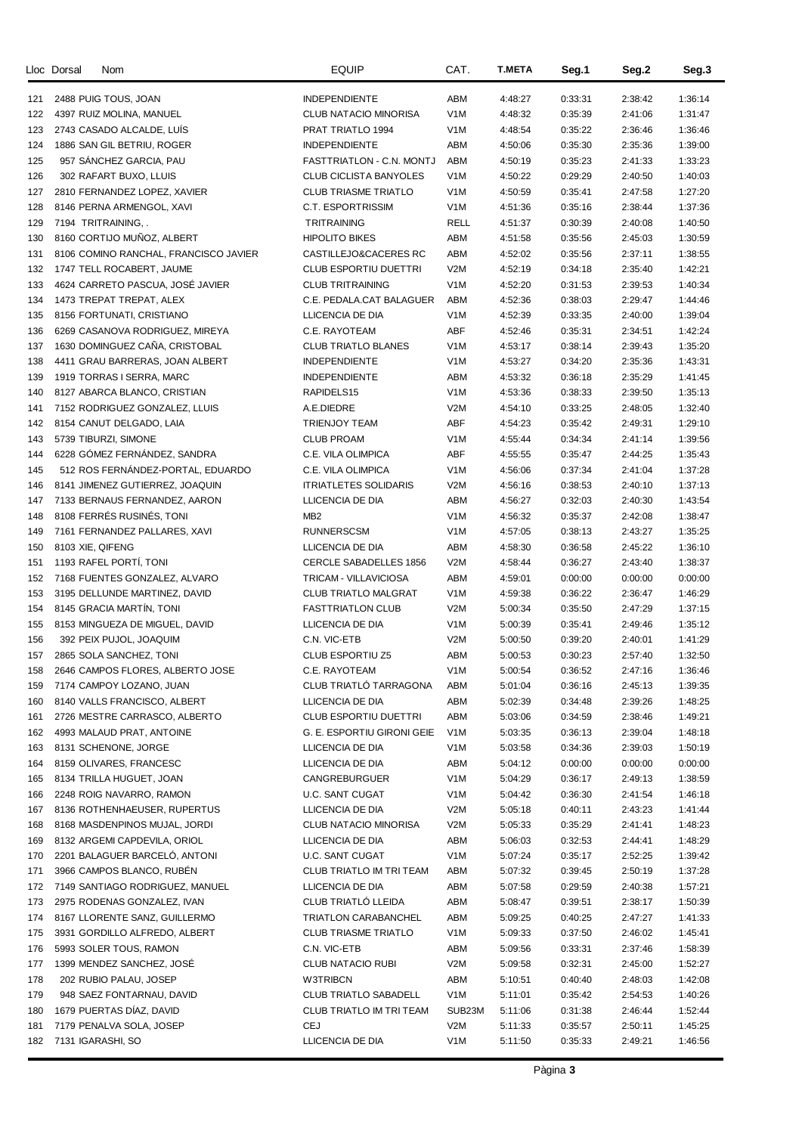|            | Lloc Dorsal | <b>Nom</b>                                                     | <b>EQUIP</b>                                        | CAT.                    | <b>T.META</b>      | Seg.1              | Seg.2              | Seg.3              |
|------------|-------------|----------------------------------------------------------------|-----------------------------------------------------|-------------------------|--------------------|--------------------|--------------------|--------------------|
|            |             |                                                                |                                                     | ABM                     |                    |                    | 2:38:42            | 1:36:14            |
| 121<br>122 |             | 2488 PUIG TOUS, JOAN<br>4397 RUIZ MOLINA, MANUEL               | <b>INDEPENDIENTE</b><br>CLUB NATACIO MINORISA       | V <sub>1</sub> M        | 4:48:27<br>4:48:32 | 0:33:31<br>0:35:39 | 2:41:06            | 1:31:47            |
| 123        |             | 2743 CASADO ALCALDE, LUIS                                      | PRAT TRIATLO 1994                                   | V <sub>1</sub> M        | 4:48:54            | 0:35:22            | 2:36:46            | 1:36:46            |
| 124        |             | 1886 SAN GIL BETRIU, ROGER                                     | <b>INDEPENDIENTE</b>                                | ABM                     | 4:50:06            | 0:35:30            | 2:35:36            | 1:39:00            |
| 125        |             | 957 SANCHEZ GARCIA, PAU                                        | FASTTRIATLON - C.N. MONTJ                           | ABM                     | 4:50:19            | 0:35:23            | 2:41:33            | 1:33:23            |
| 126        |             | 302 RAFART BUXO, LLUIS                                         | <b>CLUB CICLISTA BANYOLES</b>                       | V <sub>1</sub> M        | 4:50:22            | 0:29:29            | 2:40:50            | 1:40:03            |
| 127        |             | 2810 FERNANDEZ LOPEZ, XAVIER                                   | <b>CLUB TRIASME TRIATLO</b>                         | V <sub>1</sub> M        | 4:50:59            | 0:35:41            | 2:47:58            | 1:27:20            |
| 128        |             | 8146 PERNA ARMENGOL, XAVI                                      | C.T. ESPORTRISSIM                                   | V <sub>1</sub> M        | 4:51:36            | 0:35:16            | 2:38:44            | 1:37:36            |
| 129        |             | 7194 TRITRAINING,.                                             | <b>TRITRAINING</b>                                  | <b>RELL</b>             | 4:51:37            | 0:30:39            | 2:40:08            | 1:40:50            |
| 130        |             | 8160 CORTIJO MUÑOZ, ALBERT                                     | <b>HIPOLITO BIKES</b>                               | ABM                     | 4:51:58            | 0:35:56            | 2:45:03            | 1:30:59            |
| 131        |             | 8106 COMINO RANCHAL, FRANCISCO JAVIER                          | CASTILLEJO&CACERES RC                               | ABM                     | 4:52:02            | 0:35:56            | 2:37:11            | 1:38:55            |
| 132        |             | 1747 TELL ROCABERT, JAUME                                      | <b>CLUB ESPORTIU DUETTRI</b>                        | V2M                     | 4:52:19            | 0:34:18            | 2:35:40            | 1:42:21            |
| 133        |             | 4624 CARRETO PASCUA, JOSÉ JAVIER                               | <b>CLUB TRITRAINING</b>                             | V <sub>1</sub> M        | 4:52:20            | 0:31:53            | 2:39:53            | 1:40:34            |
| 134        |             | 1473 TREPAT TREPAT, ALEX                                       | C.E. PEDALA.CAT BALAGUER                            | ABM                     | 4:52:36            | 0:38:03            | 2:29:47            | 1:44:46            |
| 135        |             | 8156 FORTUNATI, CRISTIANO                                      | LLICENCIA DE DIA                                    | V <sub>1</sub> M        | 4:52:39            | 0:33:35            | 2:40:00            | 1:39:04            |
| 136        |             | 6269 CASANOVA RODRIGUEZ, MIREYA                                | C.E. RAYOTEAM                                       | ABF                     | 4:52:46            | 0:35:31            | 2:34:51            | 1:42:24            |
| 137        |             | 1630 DOMINGUEZ CAÑA, CRISTOBAL                                 | <b>CLUB TRIATLO BLANES</b>                          | V <sub>1</sub> M        | 4:53:17            | 0:38:14            | 2:39:43            | 1:35:20            |
| 138        |             | 4411 GRAU BARRERAS, JOAN ALBERT                                | <b>INDEPENDIENTE</b>                                | V <sub>1</sub> M        | 4:53:27            | 0:34:20            | 2:35:36            | 1:43:31            |
| 139        |             | 1919 TORRAS I SERRA, MARC                                      | <b>INDEPENDIENTE</b>                                | ABM                     | 4:53:32            | 0:36:18            | 2:35:29            | 1:41:45            |
| 140        |             | 8127 ABARCA BLANCO, CRISTIAN                                   | RAPIDELS15                                          | V <sub>1</sub> M        | 4:53:36            | 0:38:33            | 2:39:50            | 1:35:13            |
| 141        |             | 7152 RODRIGUEZ GONZALEZ, LLUIS                                 | A.E.DIEDRE                                          | V2M                     | 4:54:10            | 0:33:25            | 2:48:05            | 1:32:40            |
| 142        |             | 8154 CANUT DELGADO, LAIA                                       | <b>TRIENJOY TEAM</b>                                | ABF                     | 4:54:23            | 0:35:42            | 2:49:31            | 1:29:10            |
| 143        |             | 5739 TIBURZI, SIMONE                                           | <b>CLUB PROAM</b>                                   | V <sub>1</sub> M        | 4:55:44            | 0:34:34            | 2:41:14            | 1:39:56            |
| 144        |             | 6228 GÓMEZ FERNÁNDEZ, SANDRA                                   | C.E. VILA OLIMPICA                                  | ABF                     | 4:55:55            | 0:35:47            | 2:44:25            | 1:35:43            |
| 145        |             | 512 ROS FERNÁNDEZ-PORTAL, EDUARDO                              | C.E. VILA OLIMPICA                                  | V <sub>1</sub> M        | 4:56:06            | 0:37:34            | 2:41:04            | 1:37:28            |
| 146        |             | 8141 JIMENEZ GUTIERREZ, JOAQUIN                                | <b>ITRIATLETES SOLIDARIS</b>                        | V2M                     | 4:56:16            | 0:38:53            | 2:40:10            | 1:37:13            |
| 147        |             | 7133 BERNAUS FERNANDEZ, AARON                                  | LLICENCIA DE DIA                                    | ABM                     | 4:56:27            | 0:32:03            | 2:40:30            | 1:43:54            |
| 148        |             | 8108 FERRÉS RUSINÉS, TONI                                      | MB <sub>2</sub>                                     | V <sub>1</sub> M        | 4:56:32            | 0:35:37            | 2:42:08            | 1:38:47            |
| 149        |             | 7161 FERNANDEZ PALLARES, XAVI                                  | <b>RUNNERSCSM</b>                                   | V <sub>1</sub> M        | 4:57:05            | 0:38:13            | 2:43:27            | 1:35:25            |
| 150        |             | 8103 XIE, QIFENG                                               | LLICENCIA DE DIA                                    | ABM                     | 4:58:30            | 0:36:58            | 2:45:22            | 1:36:10            |
| 151        |             | 1193 RAFEL PORTI, TONI                                         | <b>CERCLE SABADELLES 1856</b>                       | V2M                     | 4:58:44            | 0:36:27            | 2:43:40            | 1:38:37            |
| 152        |             | 7168 FUENTES GONZALEZ, ALVARO                                  | TRICAM - VILLAVICIOSA                               | ABM                     | 4:59:01            | 0:00:00            | 0:00:00            | 0:00:00            |
| 153        |             | 3195 DELLUNDE MARTINEZ, DAVID                                  | <b>CLUB TRIATLO MALGRAT</b>                         | V <sub>1</sub> M        | 4:59:38            | 0:36:22            | 2:36:47            | 1:46:29            |
| 154        |             | 8145 GRACIA MARTIN, TONI                                       | <b>FASTTRIATLON CLUB</b>                            | V2M                     | 5:00:34            | 0:35:50            | 2:47:29            | 1:37:15            |
| 155        |             | 8153 MINGUEZA DE MIGUEL, DAVID                                 | LLICENCIA DE DIA                                    | V <sub>1</sub> M        | 5:00:39            | 0:35:41            | 2:49:46            | 1:35:12            |
| 156        |             | 392 PEIX PUJOL, JOAQUIM                                        | C.N. VIC-ETB                                        | V <sub>2</sub> M        | 5:00:50            | 0:39:20            | 2:40:01            | 1:41:29            |
| 157        |             | 2865 SOLA SANCHEZ, TONI                                        | <b>CLUB ESPORTIU Z5</b>                             | ABM                     | 5:00:53            | 0:30:23            | 2:57:40            | 1:32:50            |
| 158        |             | 2646 CAMPOS FLORES, ALBERTO JOSE                               | C.E. RAYOTEAM                                       | V1M                     | 5:00:54            | 0:36:52            | 2:47:16            | 1:36:46            |
| 159        |             | 7174 CAMPOY LOZANO, JUAN                                       | CLUB TRIATLO TARRAGONA                              | ABM                     | 5:01:04            | 0:36:16            | 2:45:13            | 1:39:35            |
| 160        |             | 8140 VALLS FRANCISCO, ALBERT                                   | LLICENCIA DE DIA                                    | <b>ABM</b>              | 5:02:39            | 0:34:48            | 2:39:26            | 1:48:25            |
| 161        |             | 2726 MESTRE CARRASCO, ALBERTO                                  | <b>CLUB ESPORTIU DUETTRI</b>                        | ABM                     | 5:03:06            | 0:34:59            | 2:38:46            | 1:49:21            |
| 162        |             | 4993 MALAUD PRAT, ANTOINE                                      | G. E. ESPORTIU GIRONI GEIE                          | V1M                     | 5:03:35            | 0:36:13            | 2:39:04            | 1:48:18            |
| 163        |             | 8131 SCHENONE, JORGE                                           | LLICENCIA DE DIA                                    | V1M                     | 5:03:58            | 0:34:36            | 2:39:03            | 1:50:19            |
| 164        |             | 8159 OLIVARES, FRANCESC                                        | LLICENCIA DE DIA                                    | ABM                     | 5:04:12            | 0:00:00            | 0:00:00            | 0:00:00            |
| 165        |             | 8134 TRILLA HUGUET, JOAN                                       | CANGREBURGUER                                       | V <sub>1</sub> M        | 5:04:29            | 0:36:17            | 2:49:13            | 1:38:59            |
| 166        |             | 2248 ROIG NAVARRO, RAMON                                       | U.C. SANT CUGAT                                     | V <sub>1</sub> M        | 5:04:42            | 0:36:30            | 2:41:54            | 1:46:18            |
| 167        |             | 8136 ROTHENHAEUSER, RUPERTUS                                   | LLICENCIA DE DIA                                    | V <sub>2</sub> M        | 5:05:18            | 0:40:11            | 2:43:23            | 1:41:44            |
| 168        |             | 8168 MASDENPINOS MUJAL, JORDI                                  | CLUB NATACIO MINORISA                               | V <sub>2</sub> M        | 5:05:33            | 0:35:29            | 2:41:41            | 1:48:23            |
| 169        |             | 8132 ARGEMI CAPDEVILA, ORIOL                                   | LLICENCIA DE DIA                                    | ABM                     | 5:06:03            | 0:32:53            | 2:44:41            | 1:48:29            |
| 170        |             | 2201 BALAGUER BARCELO, ANTONI                                  | U.C. SANT CUGAT                                     | V <sub>1</sub> M        | 5:07:24            | 0:35:17            | 2:52:25            | 1:39:42            |
| 171        |             | 3966 CAMPOS BLANCO, RUBÉN                                      | CLUB TRIATLO IM TRI TEAM                            | ABM                     | 5:07:32            | 0:39:45            | 2:50:19            | 1:37:28            |
| 172        |             | 7149 SANTIAGO RODRIGUEZ, MANUEL                                | LLICENCIA DE DIA                                    | ABM                     | 5:07:58            | 0:29:59            | 2:40:38            | 1:57:21            |
| 173        |             | 2975 RODENAS GONZALEZ, IVAN                                    | CLUB TRIATLÓ LLEIDA                                 | ABM                     | 5:08:47            | 0:39:51            | 2:38:17            | 1:50:39            |
| 174        |             | 8167 LLORENTE SANZ, GUILLERMO<br>3931 GORDILLO ALFREDO, ALBERT | TRIATLON CARABANCHEL<br><b>CLUB TRIASME TRIATLO</b> | ABM<br>V <sub>1</sub> M | 5:09:25<br>5:09:33 | 0:40:25<br>0:37:50 | 2:47:27<br>2:46:02 | 1:41:33<br>1:45:41 |
| 175        |             | 5993 SOLER TOUS, RAMON                                         | C.N. VIC-ETB                                        | ABM                     | 5:09:56            | 0:33:31            | 2:37:46            | 1:58:39            |
| 176<br>177 |             | 1399 MENDEZ SANCHEZ, JOSÉ                                      | CLUB NATACIO RUBI                                   | V <sub>2</sub> M        | 5:09:58            | 0:32:31            | 2:45:00            | 1:52:27            |
| 178        |             | 202 RUBIO PALAU, JOSEP                                         | <b>W3TRIBCN</b>                                     | ABM                     | 5:10:51            | 0:40:40            | 2:48:03            | 1:42:08            |
| 179        |             | 948 SAEZ FONTARNAU, DAVID                                      | <b>CLUB TRIATLO SABADELL</b>                        | V1M                     | 5:11:01            | 0:35:42            | 2:54:53            | 1:40:26            |
| 180        |             | 1679 PUERTAS DÍAZ, DAVID                                       | CLUB TRIATLO IM TRI TEAM                            | SUB23M                  | 5:11:06            | 0:31:38            | 2:46:44            | 1:52:44            |
| 181        |             | 7179 PENALVA SOLA, JOSEP                                       | CEJ                                                 | V <sub>2</sub> M        | 5:11:33            | 0:35:57            | 2:50:11            | 1:45:25            |
| 182        |             | 7131 IGARASHI, SO                                              | LLICENCIA DE DIA                                    | V1M                     | 5:11:50            | 0:35:33            | 2:49:21            | 1:46:56            |
|            |             |                                                                |                                                     |                         |                    |                    |                    |                    |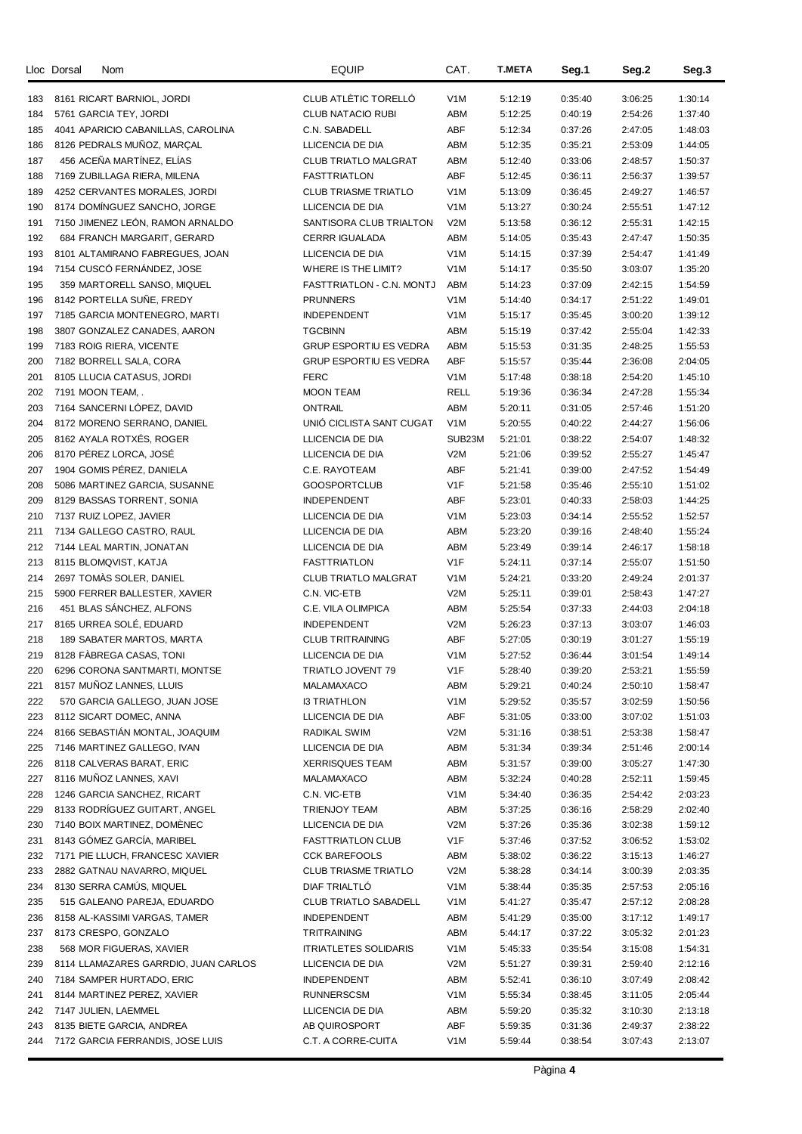|     | Nom<br>Lloc Dorsal                   | <b>EQUIP</b>                  | CAT.             | <b>T.META</b> | Seg.1   | Seg.2   | Seg.3   |
|-----|--------------------------------------|-------------------------------|------------------|---------------|---------|---------|---------|
| 183 | 8161 RICART BARNIOL, JORDI           | CLUB ATLÈTIC TORELLÓ          | V <sub>1</sub> M | 5:12:19       | 0:35:40 | 3:06:25 | 1:30:14 |
| 184 | 5761 GARCIA TEY, JORDI               | <b>CLUB NATACIO RUBI</b>      | ABM              | 5:12:25       | 0:40:19 | 2:54:26 | 1:37:40 |
| 185 | 4041 APARICIO CABANILLAS, CAROLINA   | C.N. SABADELL                 | ABF              | 5:12:34       | 0:37:26 | 2:47:05 | 1:48:03 |
| 186 | 8126 PEDRALS MUNOZ, MARÇAL           | LLICENCIA DE DIA              | ABM              | 5:12:35       | 0:35:21 | 2:53:09 | 1:44:05 |
| 187 | 456 ACEÑA MARTÍNEZ, ELÍAS            | <b>CLUB TRIATLO MALGRAT</b>   | ABM              | 5:12:40       | 0:33:06 | 2:48:57 | 1:50:37 |
| 188 | 7169 ZUBILLAGA RIERA, MILENA         | <b>FASTTRIATLON</b>           | <b>ABF</b>       | 5:12:45       | 0:36:11 | 2:56:37 | 1:39:57 |
| 189 | 4252 CERVANTES MORALES, JORDI        | <b>CLUB TRIASME TRIATLO</b>   | V <sub>1</sub> M | 5:13:09       | 0:36:45 | 2:49:27 | 1:46:57 |
| 190 | 8174 DOMINGUEZ SANCHO, JORGE         | LLICENCIA DE DIA              | V <sub>1</sub> M | 5:13:27       | 0:30:24 | 2:55:51 | 1:47:12 |
| 191 | 7150 JIMENEZ LEON, RAMON ARNALDO     | SANTISORA CLUB TRIALTON       | V <sub>2</sub> M | 5:13:58       | 0:36:12 | 2:55:31 | 1:42:15 |
| 192 | 684 FRANCH MARGARIT, GERARD          | <b>CERRR IGUALADA</b>         | ABM              | 5:14:05       | 0:35:43 | 2:47:47 | 1:50:35 |
| 193 | 8101 ALTAMIRANO FABREGUES, JOAN      | LLICENCIA DE DIA              | V <sub>1</sub> M | 5:14:15       | 0:37:39 | 2:54:47 | 1:41:49 |
| 194 | 7154 CUSCÓ FERNÁNDEZ, JOSE           | WHERE IS THE LIMIT?           | V <sub>1</sub> M | 5:14:17       | 0:35:50 | 3:03:07 | 1:35:20 |
| 195 | 359 MARTORELL SANSO, MIQUEL          | FASTTRIATLON - C.N. MONTJ     | ABM              | 5:14:23       | 0:37:09 | 2:42:15 | 1:54:59 |
| 196 | 8142 PORTELLA SUNE, FREDY            | <b>PRUNNERS</b>               | V <sub>1</sub> M | 5:14:40       | 0:34:17 | 2:51:22 | 1:49:01 |
| 197 | 7185 GARCIA MONTENEGRO, MARTI        | <b>INDEPENDENT</b>            | V <sub>1</sub> M | 5:15:17       | 0:35:45 | 3:00:20 | 1:39:12 |
| 198 | 3807 GONZALEZ CANADES, AARON         | <b>TGCBINN</b>                | ABM              | 5:15:19       | 0:37:42 | 2:55:04 | 1:42:33 |
| 199 | 7183 ROIG RIERA, VICENTE             | <b>GRUP ESPORTIU ES VEDRA</b> | ABM              | 5:15:53       | 0:31:35 | 2:48:25 | 1:55:53 |
| 200 | 7182 BORRELL SALA, CORA              | <b>GRUP ESPORTIU ES VEDRA</b> | ABF              | 5:15:57       | 0:35:44 | 2:36:08 | 2:04:05 |
| 201 | 8105 LLUCIA CATASUS, JORDI           | <b>FERC</b>                   | V <sub>1</sub> M | 5:17:48       | 0:38:18 | 2:54:20 | 1:45:10 |
| 202 | 7191 MOON TEAM, .                    | <b>MOON TEAM</b>              | RELL             | 5:19:36       | 0:36:34 | 2:47:28 | 1:55:34 |
| 203 | 7164 SANCERNI LÓPEZ, DAVID           | <b>ONTRAIL</b>                | ABM              | 5:20:11       | 0:31:05 | 2:57:46 | 1:51:20 |
| 204 | 8172 MORENO SERRANO, DANIEL          | UNIÓ CICLISTA SANT CUGAT      | V <sub>1</sub> M | 5:20:55       | 0:40:22 | 2:44:27 | 1:56:06 |
| 205 | 8162 AYALA ROTXÉS, ROGER             | LLICENCIA DE DIA              | SUB23M           | 5:21:01       | 0:38:22 | 2:54:07 | 1:48:32 |
| 206 | 8170 PÉREZ LORCA, JOSÉ               | LLICENCIA DE DIA              | V <sub>2</sub> M | 5:21:06       | 0:39:52 | 2:55:27 | 1:45:47 |
| 207 | 1904 GOMIS PÉREZ, DANIELA            | C.E. RAYOTEAM                 | ABF              | 5:21:41       | 0:39:00 | 2:47:52 | 1:54:49 |
| 208 | 5086 MARTINEZ GARCIA, SUSANNE        | <b>GOOSPORTCLUB</b>           | V1F              | 5:21:58       | 0:35:46 | 2:55:10 | 1:51:02 |
| 209 | 8129 BASSAS TORRENT, SONIA           | <b>INDEPENDENT</b>            | <b>ABF</b>       | 5:23:01       | 0:40:33 | 2:58:03 | 1:44:25 |
| 210 | 7137 RUIZ LOPEZ, JAVIER              | LLICENCIA DE DIA              | V <sub>1</sub> M | 5:23:03       | 0:34:14 | 2:55:52 | 1:52:57 |
| 211 | 7134 GALLEGO CASTRO, RAUL            | LLICENCIA DE DIA              | ABM              | 5:23:20       | 0:39:16 | 2:48:40 | 1:55:24 |
| 212 | 7144 LEAL MARTIN, JONATAN            | LLICENCIA DE DIA              | ABM              | 5:23:49       | 0:39:14 | 2:46:17 | 1:58:18 |
| 213 | 8115 BLOMQVIST, KATJA                | <b>FASTTRIATLON</b>           | V <sub>1</sub> F | 5:24:11       | 0:37:14 | 2:55:07 | 1:51:50 |
| 214 | 2697 TOMAS SOLER, DANIEL             | <b>CLUB TRIATLO MALGRAT</b>   | V1M              | 5:24:21       | 0:33:20 | 2:49:24 | 2:01:37 |
| 215 | 5900 FERRER BALLESTER, XAVIER        | C.N. VIC-ETB                  | V2M              | 5:25:11       | 0:39:01 | 2:58:43 | 1:47:27 |
| 216 | 451 BLAS SANCHEZ, ALFONS             | C.E. VILA OLIMPICA            | ABM              | 5:25:54       | 0:37:33 | 2:44:03 | 2:04:18 |
| 217 | 8165 URREA SOLÉ, EDUARD              | <b>INDEPENDENT</b>            | V <sub>2</sub> M | 5:26:23       | 0:37:13 | 3:03:07 | 1:46:03 |
| 218 | 189 SABATER MARTOS, MARTA            | <b>CLUB TRITRAINING</b>       | ABF              | 5:27:05       | 0:30:19 | 3:01:27 | 1:55:19 |
| 219 | 8128 FABREGA CASAS, TONI             | LLICENCIA DE DIA              | V <sub>1</sub> M | 5:27:52       | 0:36:44 | 3:01:54 | 1:49:14 |
| 220 | 6296 CORONA SANTMARTI, MONTSE        | TRIATLO JOVENT 79             | V1F              | 5:28:40       | 0:39:20 | 2:53:21 | 1:55:59 |
| 221 | 8157 MUNOZ LANNES, LLUIS             | MALAMAXACO                    | ABM              | 5:29:21       | 0:40:24 | 2:50:10 | 1:58:47 |
| 222 | 570 GARCIA GALLEGO, JUAN JOSE        | <b>I3 TRIATHLON</b>           | V <sub>1</sub> M | 5:29:52       | 0:35:57 | 3:02:59 | 1:50:56 |
| 223 | 8112 SICART DOMEC, ANNA              | LLICENCIA DE DIA              | ABF              | 5:31:05       | 0:33:00 | 3:07:02 | 1:51:03 |
| 224 | 8166 SEBASTIAN MONTAL, JOAQUIM       | <b>RADIKAL SWIM</b>           | V <sub>2</sub> M | 5:31:16       | 0:38:51 | 2:53:38 | 1:58:47 |
| 225 | 7146 MARTINEZ GALLEGO, IVAN          | LLICENCIA DE DIA              | ABM              | 5:31:34       | 0:39:34 | 2:51:46 | 2:00:14 |
| 226 | 8118 CALVERAS BARAT, ERIC            | <b>XERRISQUES TEAM</b>        | ABM              | 5:31:57       | 0:39:00 | 3:05:27 | 1:47:30 |
| 227 | 8116 MUNOZ LANNES, XAVI              | MALAMAXACO                    | ABM              | 5:32:24       | 0:40:28 | 2:52:11 | 1:59:45 |
| 228 | 1246 GARCIA SANCHEZ, RICART          | C.N. VIC-ETB                  | V <sub>1</sub> M | 5:34:40       | 0:36:35 | 2:54:42 | 2:03:23 |
| 229 | 8133 RODRÍGUEZ GUITART, ANGEL        | <b>TRIENJOY TEAM</b>          | ABM              | 5:37:25       | 0:36:16 | 2:58:29 | 2:02:40 |
| 230 | 7140 BOIX MARTINEZ, DOMÈNEC          | LLICENCIA DE DIA              | V <sub>2</sub> M | 5:37:26       | 0:35:36 | 3:02:38 | 1:59:12 |
| 231 | 8143 GÓMEZ GARCÍA, MARIBEL           | <b>FASTTRIATLON CLUB</b>      | V1F              | 5:37:46       | 0:37:52 | 3:06:52 | 1:53:02 |
| 232 | 7171 PIE LLUCH, FRANCESC XAVIER      | <b>CCK BAREFOOLS</b>          | ABM              | 5:38:02       | 0:36:22 | 3:15:13 | 1:46:27 |
| 233 | 2882 GATNAU NAVARRO, MIQUEL          | <b>CLUB TRIASME TRIATLO</b>   | V <sub>2</sub> M | 5:38:28       | 0:34:14 | 3:00:39 | 2:03:35 |
| 234 | 8130 SERRA CAMÚS, MIQUEL             | DIAF TRIALTLÓ                 | V <sub>1</sub> M | 5:38:44       | 0:35:35 | 2:57:53 | 2:05:16 |
| 235 | 515 GALEANO PAREJA, EDUARDO          | <b>CLUB TRIATLO SABADELL</b>  | V <sub>1</sub> M | 5:41:27       | 0:35:47 | 2:57:12 | 2:08:28 |
| 236 | 8158 AL-KASSIMI VARGAS, TAMER        | <b>INDEPENDENT</b>            | ABM              | 5:41:29       | 0:35:00 | 3:17:12 | 1:49:17 |
| 237 | 8173 CRESPO, GONZALO                 | TRITRAINING                   | ABM              | 5:44:17       | 0:37:22 | 3:05:32 | 2:01:23 |
| 238 | 568 MOR FIGUERAS, XAVIER             | <b>ITRIATLETES SOLIDARIS</b>  | V <sub>1</sub> M | 5:45:33       | 0:35:54 | 3:15:08 | 1:54:31 |
| 239 | 8114 LLAMAZARES GARRDIO, JUAN CARLOS | LLICENCIA DE DIA              | V <sub>2</sub> M | 5:51:27       | 0:39:31 | 2:59:40 | 2:12:16 |
| 240 | 7184 SAMPER HURTADO, ERIC            | <b>INDEPENDENT</b>            | ABM              | 5:52:41       | 0:36:10 | 3:07:49 | 2:08:42 |
| 241 | 8144 MARTINEZ PEREZ, XAVIER          | <b>RUNNERSCSM</b>             | V <sub>1</sub> M | 5:55:34       | 0:38:45 | 3:11:05 | 2:05:44 |
| 242 | 7147 JULIEN, LAEMMEL                 | LLICENCIA DE DIA              | ABM              | 5:59:20       | 0:35:32 | 3:10:30 | 2:13:18 |
| 243 | 8135 BIETE GARCIA, ANDREA            | AB QUIROSPORT                 | ABF              | 5:59:35       | 0:31:36 | 2:49:37 | 2:38:22 |
| 244 | 7172 GARCIA FERRANDIS, JOSE LUIS     | C.T. A CORRE-CUITA            | V <sub>1</sub> M | 5:59:44       | 0:38:54 | 3:07:43 | 2:13:07 |